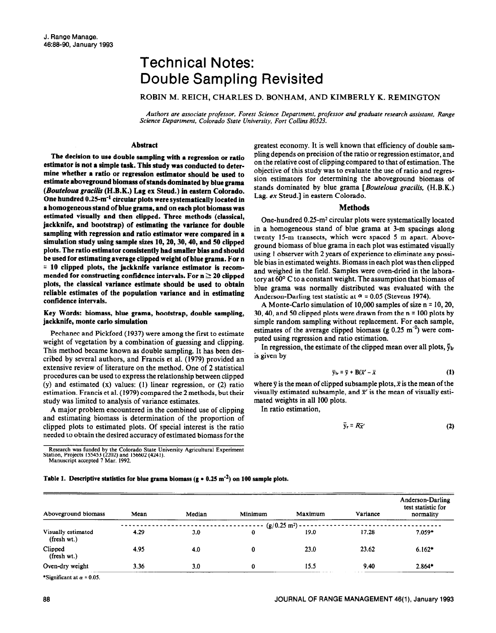# Technical Notes: Double Sampling Revisited

ROBIN M. REICH, CHARLES D. BONHAM, AND KIMBERLY K. REMINGTON

*Authors are associate professor, Forest Science Department, professor and graduate research assistant, Range Science Department, Colorado State University, Fort Collins 80523.* 

## **Abstract**

**The decision to use double sampling with a regression or ratio estimator is not a simple task. This study was conducted to determine whether a ratio or regression estimator should be used to estimate aboveground biomass of stands dominated by blue grama (Boufeloua** *gracifh* **(H.B.K.) Lag ex Steud.) in eastern Colorado. One hundred 0.25-m" circular plots were systematically located in a homogeneous stand of blue grama, and on each plot biomass was estimated visually and then clipped. Three methods (classical, jackknife, and bootstrap) of estimating the variance for double sampling with regression and ratio estimator were compared in a simulation study using sample sizes 10,20,30,40, and 50 clipped plots. The ratio estimator consistently had smaller bias and should be used for estimating average clipped weight of blue grama. For n = 10 clipped plots, the jackknife variance estimator is recom**mended for constructing confidence intervals. For  $n \geq 20$  clipped **plots, the classical variance estimate should be used to obtain reliable estimates of the population variance and in estimating confidence intervals.** 

**Key Words: biomass, blue grama, bootstrap, double sampling, jackknife, monte carlo simulation** 

Pechanec and Pickford (1937) were among the first to estimate weight of vegetation by a combination of guessing and clipping. This method became known as double sampling. It has been described by several authors, and Francis et al. (1979) provided an extensive review of literature on the method. One of 2 statistical procedures can be used to express the relationship between clipped (y) and estimated (x) values: (1) linear regression, or (2) ratio estimation. Francis et al. (1979) compared the 2 methods, but their study was limited to analysis of variance estimates.

A major problem encountered in the combined use of clipping and estimating biomass is determination of the proportion of clipped plots to estimated plots. Of special interest is the ratio needed to obtain the desired accuracy of estimated biomass for the

Research was funded by the Colorado State University Agricultural Experiment Station, Projects 155453 (2202) and 156602 (4241).

Manuscript accepted 7 Mar. 1992.

greatest economy. It is well known that efficiency of double sampling depends on precision of the ratio or regression estimator, and on the relative cost of clipping compared to that of estimation. The objective of this study was to evaluate the use of ratio and regression estimators for determining the aboveground biomass of stands dominated by blue grama [Boureloua *gracilis,* (H.B.K.) Lag. ex Steud.] in eastern Colorado.

#### **Methods**

One-hundred 0.25-m2 circular plots were systematically located in a homogeneous stand of blue grama at 3-m spacings along twenty 15-m transects, which were spaced 5 m apart. Aboveground biomass of blue grama in each plot was estimated visually using 1 observer with 2 years of experience to eliminate any possible bias in estimated weights. Biomass in each plot was then clipped and weighed in the field. Samples were oven-dried in the laboratory at 60° C to a constant weight. The assumption that biomass of blue grama was normally distributed was evaluated with the Anderson-Darling test statistic at  $\alpha$  = 0.05 (Stevens 1974).

A Monte-Carlo simulation of 10,000 samples of size n = 10,20, 30, 40, and 50 clipped plots were drawn from the  $n = 100$  plots by simple random sampling without replacement. For each sample, estimates of the average clipped biomass (g  $0.25 \text{ m}^{-2}$ ) were computed using regression and ratio estimation.

In regression, the estimate of the clipped mean over all plots,  $\bar{y}_{lr}$ is given by

$$
\overline{y}_{1r} = \overline{y} + B(\overline{x}' - \overline{x}) \tag{1}
$$

where  $\bar{v}$  is the mean of clipped subsample plots,  $\bar{x}$  is the mean of the visually estimated subsample, and  $\bar{x}$ ' is the mean of visually estimated weights in all 100 plots.

In ratio estimation,

$$
\bar{y}_r = R\bar{x}' \tag{2}
$$

Table 1. Descriptive statistics for blue grama biomass (g • 0.25 m<sup>-2</sup>) on 100 sample plots.

| Aboveground biomass                         | Mean | Median | Minimum  | Maximum         | Variance | Anderson-Darling<br>test statistic for<br>normality |
|---------------------------------------------|------|--------|----------|-----------------|----------|-----------------------------------------------------|
|                                             |      |        |          | $(g/0.25 m2) -$ |          |                                                     |
| Visually estimated<br>${\rm (fresh \ wt.)}$ | 4.29 | 3.0    | $\bf{0}$ | 19.0            | 17.28    | $7.059*$                                            |
| Clipped<br>${\rm (fresh \ wt.)}$            | 4.95 | 4.0    | 0        | 23.0            | 23.62    | $6.162*$                                            |
| Oven-dry weight                             | 3.36 | 3.0    | 0        | 15.5            | 9.40     | $2.864*$                                            |

\*Significant at  $\alpha$  = 0.05.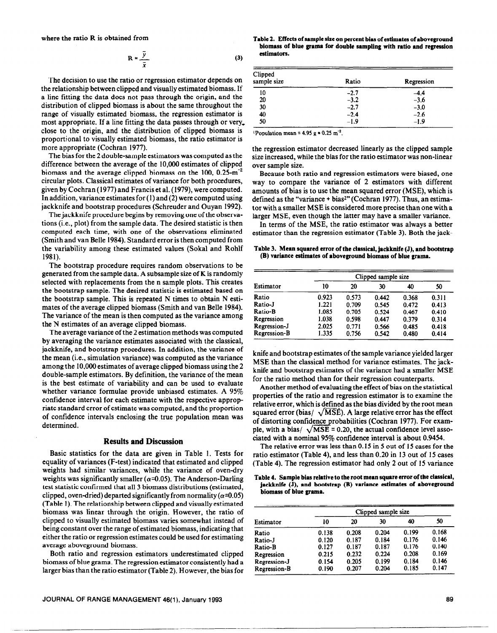where the ratio R is obtained from

$$
R = \frac{\bar{y}}{\bar{x}}
$$
 (3)

The decision to use the ratio or regression estimator depends on the relationship between clipped and visually estimated biomass. If a line fitting the data does not pass through the origin, and the distribution of clipped biomass is about the same throughout the range of visually estimated biomass, the regression estimator is most appropriate. If a line fitting the data passes through or very, close to the origin, and the distribution of clipped biomass is proportional to visually estimated biomass, the ratio estimator is more appropriate (Cochran 1977).

The bias for the 2 double-sample estimators was computed as the difference between the average of the 10,000 estimates of clipped biomass and the average clipped biomass on the 100, 0.25-m-' circular plots. Classical estimates of variance for both procedures, given by Cochran (1977) and Francis et al. (1979), were computed. In addition, variance estimates for (1) and (2) were computed using jackknife and bootstrap procedures (Schreuder and Ouyan 1992).

The jackknife procedure begins by removing one of the observations (i.e., plot) from the sample data. The desired statistic is then computed each time, with one of the observations eliminated (Smith and van Belle 1984). Standard error is then computed from the variability among these estimated values (Sokal and Rohlf 1981).

The bootstrap procedure requires random observations to be generated from the sample data. A subsample size of K is randomly selected with replacements from the n sample plots. This creates the bootstrap sample. The desired statistic is estimated based on the bootstrap sample. This is repeated N times to obtain N estimates of the average clipped biomass (Smith and van Belle 1984). The variance of the mean is then computed as the variance among the N estimates of an average clipped biomass.

The average variance of the 2 estimation methods was computed by averaging the variance estimates associated with the classical, jackknife, and bootstrap procedures. In addition, the variance of the mean (i.e., simulation variance) was computed as the variance among the 10,000 estimates of average clipped biomass using the 2 double-sample estimators. By definition, the variance of the mean is the best estimate of variability and can be used to evaluate whether variance formulae provide unbiased estimates. A 95% confidence interval for each estimate with the respective appropriate standard error of estimate was computed, and the proportion of confidence intervals enclosing the true population mean was determined.

#### **Results and Discussion**

Basic statistics for the data are given in Table 1. Tests for equality of variances (F-test) indicated that estimated and clipped weights had similar variances, while the variance of oven-dry weights was significantly smaller ( $\alpha$ =0.05). The Anderson-Darling test statistic confirmed that all 3 biomass distributions (estimated, clipped, oven-dried) departed significantly from normality ( $\alpha$ =0.05) (Table 1). The relationship between clipped and visually estimated biomass was linear through the origin. However, the ratio of clipped to visually estimated biomass varies somewhat instead of being constant over the range of estimated biomass, indicating that either the ratio or regression estimates could be used for estimating average aboveground biomass.

Both ratio and regression estimators underestimated clipped biomass of blue grama. The regression estimator consistently had a larger bias than the ratio estimator (Table 2). However, the bias for

**Table 2. Effects of sample size on percent bias of estimates of aboveground**  biomass of blue grama for double sampling with ratio and regression **estimators.** 

| Clipped<br>sample size | Ratio  | Regression |
|------------------------|--------|------------|
| 10                     | $-2.7$ | -4.4       |
| 20                     | $-3.2$ | $-3.6$     |
| 30                     | $-2.7$ | $-3.0$     |
| 40                     | $-2.4$ | $-2.6$     |
| 50                     | $-1.9$ | $-1.9$     |

'Population mean =  $4.95 g \cdot 0.25 m^2$ .

the regression estimator decreased linearly as the clipped sample size increased, while the bias for the ratio estimator was non-linear over sample size.

Because both ratio and regression estimators were biased, one way to compare the variance of 2 estimators with different amounts of bias is to use the mean squared error (MSE), which is defined as the "variance + bias<sup>2</sup>" (Cochran 1977). Thus, an estimator with a smaller MSE is considered more precise than one with a larger MSE, even though the latter may have a smaller variance.

In terms of the MSE, the ratio estimator was always a better estimator than the regression estimator (Table 3). Both the jack-

Table 3. **Mean squared error of the classical, jackknife(J), and bootstrap (B) variance estimates of aboveground biomass of blue grama.** 

| Estimator           | Clipped sample size |       |       |       |       |  |
|---------------------|---------------------|-------|-------|-------|-------|--|
|                     | 10                  | 20    | 30    | 40    | 50    |  |
| Ratio               | 0.923               | 0.573 | 0.442 | 0.368 | 0.311 |  |
| Ratio-J             | 1.221               | 0.709 | 0.545 | 0.472 | 0.413 |  |
| Ratio-B             | 1.085               | 0.705 | 0.524 | 0.467 | 0.410 |  |
| Regression          | 1.038               | 0.598 | 0.447 | 0.379 | 0.314 |  |
| Regression-J        | 2.025               | 0.771 | 0.566 | 0.485 | 0.418 |  |
| <b>Regression-B</b> | 1.335               | 0.756 | 0.542 | 0.480 | 0.414 |  |

knife and bootstrap estimates of the sample variance yielded larger MSE than the classical method for variance estimates. The jackknife and bootstrap estimates of the variance had a smaller MSE for the ratio method than for their regression counterparts.

Another method of evaluating the effect of bias on the statistical properties of the ratio and regression estimator is to examine the relative error, which is defined as the bias divided by the root mean squared error (bias/  $\sqrt{MSE}$ ). A large relative error has the effect of distorting confidence probabilities (Cochran 1977). For example, with a bias/  $\sqrt{\text{MSE}} = 0.20$ , the actual confidence level associated with a nominal 95% confidence interval is about 0.9454.

The relative error was less than 0.15 in 5 out of 15 cases for the ratio estimator (Table 4), and less than 0.20 in 13 out of 15 cases (Table 4). The regression estimator had only 2 out of 15 variance

**Table 4.** Sample bias relative to the root mean square error of the classical, jackknife (J), and bootstrap (B) variance estimates of aboveground **biomass of blue gramn.** 

| Estimator    | Clipped sample size |       |       |       |       |  |
|--------------|---------------------|-------|-------|-------|-------|--|
|              | 10                  | 20    | 30    | 40    | 50    |  |
| Ratio        | 0.138               | 0.208 | 0.204 | 0.199 | 0.168 |  |
| Ratio-J      | 0.120               | 0.187 | 0.184 | 0.176 | 0.146 |  |
| Ratio-B      | 0.127               | 0.187 | 0.187 | 0.176 | 0.140 |  |
| Regression   | 0.215               | 0.232 | 0.224 | 0.208 | 0.169 |  |
| Regression-J | 0.154               | 0.205 | 0.199 | 0.184 | 0.146 |  |
| Regression-B | 0.190               | 0.207 | 0.204 | 0.185 | 0.147 |  |